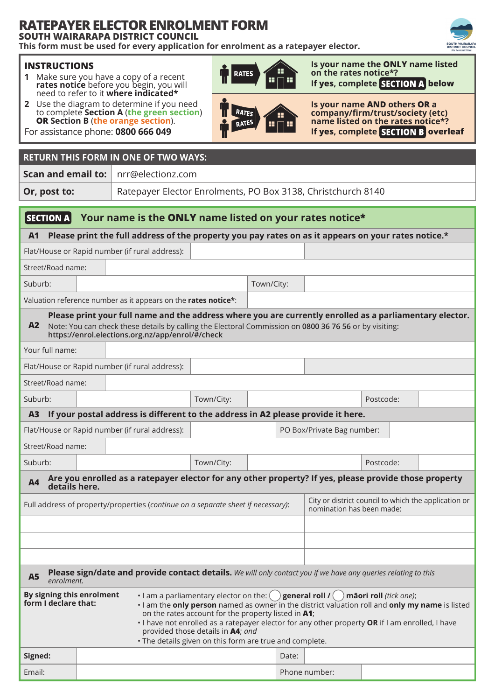# **RATEPAYER ELECTOR ENROLMENT FORM**

**SOUTH WAIRARAPA DISTRICT COUNCIL**

**This form must be used for every application for enrolment as a ratepayer elector.**

### **INSTRUCTIONS**

- **1** Make sure you have a copy of a recent **rates notice** before you begin, you will need to refer to it **where indicated\***
- **2** Use the diagram to determine if you need to complete **Section A** (**the green section**) **OR Section B** (**the orange section**).



**RATES** 

œ

**Is your name the ONLY name listed on the rates notice\*? If yes, complete SECTION A below** 



For assistance phone: **0800 666 049**

## **RETURN THIS FORM IN ONE OF TWO WAYS:**

**Scan and email to:** nrr@electionz.com

**Or, post to:** Ratepayer Elector Enrolments, PO Box 3138, Christchurch 8140

### $|$  SECTION A **Your name is the ONLY name listed on your rates notice\***

**A1 Please print the full address of the property you pay rates on as it appears on your rates notice.\***

Flat/House or Rapid number (if rural address):

Street/Road name:

Suburb: Suburb: Town/City:

Valuation reference number as it appears on the **rates notice\***:

**A2 Please print your full name and the address where you are currently enrolled as a parliamentary elector.** Note: You can check these details by calling the Electoral Commission on **0800 36 76 56** or by visiting: **https://enrol.elections.org.nz/app/enrol/#/check**

| Your full name:                                                                        |                                                                              |            |  |  |  |           |  |  |  |
|----------------------------------------------------------------------------------------|------------------------------------------------------------------------------|------------|--|--|--|-----------|--|--|--|
| Flat/House or Rapid number (if rural address):                                         |                                                                              |            |  |  |  |           |  |  |  |
| Street/Road name:                                                                      |                                                                              |            |  |  |  |           |  |  |  |
| Suburb:                                                                                |                                                                              | Town/City: |  |  |  | Postcode: |  |  |  |
| If your postal address is different to the address in A2 please provide it here.<br>A3 |                                                                              |            |  |  |  |           |  |  |  |
|                                                                                        | Flat/House or Rapid number (if rural address):<br>PO Box/Private Bag number: |            |  |  |  |           |  |  |  |

| Street/Road name: |  |  |
|-------------------|--|--|
|                   |  |  |

| Suburb: | Town/City: | Postcode: |
|---------|------------|-----------|
|---------|------------|-----------|

## **A4 Are you enrolled as a ratepayer elector for any other property? If yes, please provide those property details here.**

| Full address of property/properties (continue on a separate sheet if necessary): | City or district council to which the application or<br>nomination has been made: |
|----------------------------------------------------------------------------------|-----------------------------------------------------------------------------------|
|                                                                                  |                                                                                   |
|                                                                                  |                                                                                   |

| A5 Please sign/date and provide contact details. We will only contact you if we have any queries relating to this<br>enrolment. |  |  |
|---------------------------------------------------------------------------------------------------------------------------------|--|--|
|                                                                                                                                 |  |  |

| By signing this enrolment<br>form I declare that: | • I am a parliamentary elector on the: $($ ) general roll $I($ $)$ māori roll <i>(tick one)</i> ;<br>I am the only person named as owner in the district valuation roll and only my name is listed<br>on the rates account for the property listed in A1; |
|---------------------------------------------------|-----------------------------------------------------------------------------------------------------------------------------------------------------------------------------------------------------------------------------------------------------------|
|                                                   | . I have not enrolled as a ratepayer elector for any other property OR if I am enrolled, I have<br>provided those details in <b>A4</b> ; and<br>. The details given on this form are true and complete.                                                   |

|         | $\tilde{\phantom{a}}$ |               |  |  |  |
|---------|-----------------------|---------------|--|--|--|
| Signed: |                       | Date:         |  |  |  |
| Email:  |                       | Phone number: |  |  |  |
|         |                       |               |  |  |  |